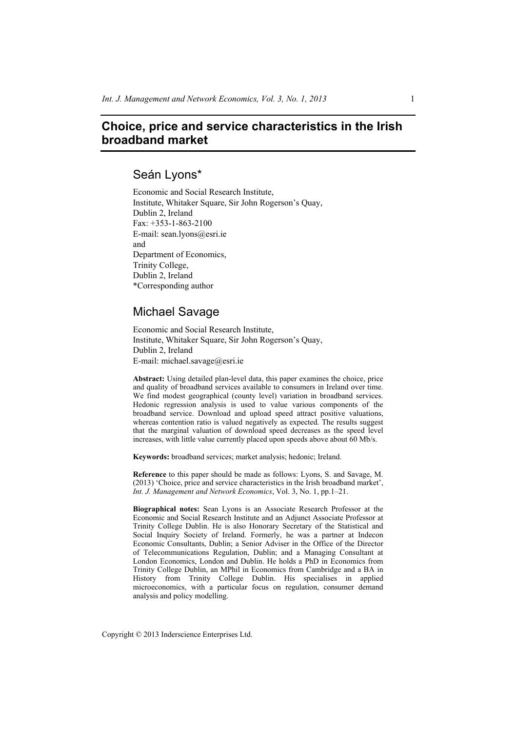# **Choice, price and service characteristics in the Irish broadband market**

## Seán Lyons\*

Economic and Social Research Institute, Institute, Whitaker Square, Sir John Rogerson's Quay, Dublin 2, Ireland Fax: +353-1-863-2100 E-mail: sean.lyons@esri.ie and Department of Economics, Trinity College, Dublin 2, Ireland \*Corresponding author

## Michael Savage

Economic and Social Research Institute, Institute, Whitaker Square, Sir John Rogerson's Quay, Dublin 2, Ireland E-mail: michael.savage@esri.ie

**Abstract:** Using detailed plan-level data, this paper examines the choice, price and quality of broadband services available to consumers in Ireland over time. We find modest geographical (county level) variation in broadband services. Hedonic regression analysis is used to value various components of the broadband service. Download and upload speed attract positive valuations, whereas contention ratio is valued negatively as expected. The results suggest that the marginal valuation of download speed decreases as the speed level increases, with little value currently placed upon speeds above about 60 Mb/s.

**Keywords:** broadband services; market analysis; hedonic; Ireland.

**Reference** to this paper should be made as follows: Lyons, S. and Savage, M. (2013) 'Choice, price and service characteristics in the Irish broadband market', *Int. J. Management and Network Economics*, Vol. 3, No. 1, pp.1–21.

**Biographical notes:** Sean Lyons is an Associate Research Professor at the Economic and Social Research Institute and an Adjunct Associate Professor at Trinity College Dublin. He is also Honorary Secretary of the Statistical and Social Inquiry Society of Ireland. Formerly, he was a partner at Indecon Economic Consultants, Dublin; a Senior Adviser in the Office of the Director of Telecommunications Regulation, Dublin; and a Managing Consultant at London Economics, London and Dublin. He holds a PhD in Economics from Trinity College Dublin, an MPhil in Economics from Cambridge and a BA in History from Trinity College Dublin. His specialises in applied microeconomics, with a particular focus on regulation, consumer demand analysis and policy modelling.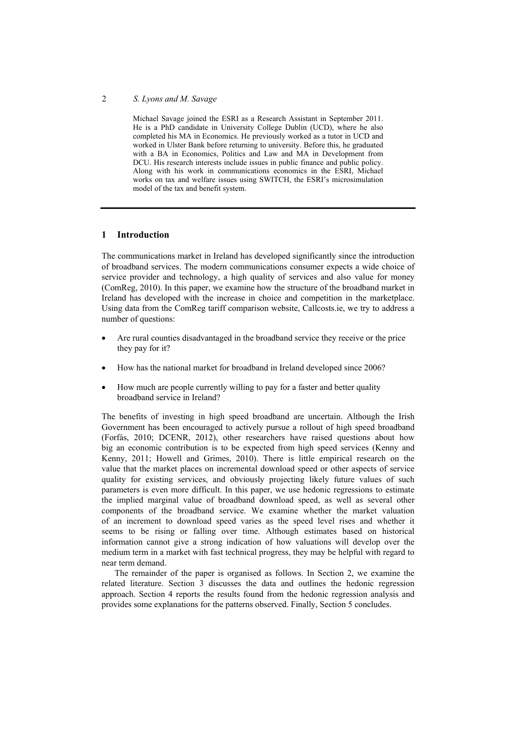Michael Savage joined the ESRI as a Research Assistant in September 2011. He is a PhD candidate in University College Dublin (UCD), where he also completed his MA in Economics. He previously worked as a tutor in UCD and worked in Ulster Bank before returning to university. Before this, he graduated with a BA in Economics, Politics and Law and MA in Development from DCU. His research interests include issues in public finance and public policy. Along with his work in communications economics in the ESRI, Michael works on tax and welfare issues using SWITCH, the ESRI's microsimulation model of the tax and benefit system.

### **1 Introduction**

The communications market in Ireland has developed significantly since the introduction of broadband services. The modern communications consumer expects a wide choice of service provider and technology, a high quality of services and also value for money (ComReg, 2010). In this paper, we examine how the structure of the broadband market in Ireland has developed with the increase in choice and competition in the marketplace. Using data from the ComReg tariff comparison website, Callcosts.ie, we try to address a number of questions:

- Are rural counties disadvantaged in the broadband service they receive or the price they pay for it?
- How has the national market for broadband in Ireland developed since 2006?
- How much are people currently willing to pay for a faster and better quality broadband service in Ireland?

The benefits of investing in high speed broadband are uncertain. Although the Irish Government has been encouraged to actively pursue a rollout of high speed broadband (Forfás, 2010; DCENR, 2012), other researchers have raised questions about how big an economic contribution is to be expected from high speed services (Kenny and Kenny, 2011; Howell and Grimes, 2010). There is little empirical research on the value that the market places on incremental download speed or other aspects of service quality for existing services, and obviously projecting likely future values of such parameters is even more difficult. In this paper, we use hedonic regressions to estimate the implied marginal value of broadband download speed, as well as several other components of the broadband service. We examine whether the market valuation of an increment to download speed varies as the speed level rises and whether it seems to be rising or falling over time. Although estimates based on historical information cannot give a strong indication of how valuations will develop over the medium term in a market with fast technical progress, they may be helpful with regard to near term demand.

The remainder of the paper is organised as follows. In Section 2, we examine the related literature. Section 3 discusses the data and outlines the hedonic regression approach. Section 4 reports the results found from the hedonic regression analysis and provides some explanations for the patterns observed. Finally, Section 5 concludes.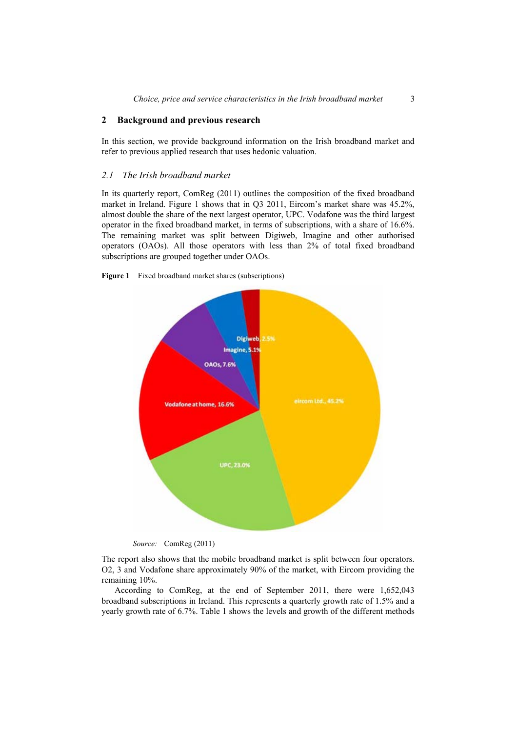### **2 Background and previous research**

In this section, we provide background information on the Irish broadband market and refer to previous applied research that uses hedonic valuation.

#### *2.1 The Irish broadband market*

In its quarterly report, ComReg (2011) outlines the composition of the fixed broadband market in Ireland. Figure 1 shows that in Q3 2011, Eircom's market share was 45.2%, almost double the share of the next largest operator, UPC. Vodafone was the third largest operator in the fixed broadband market, in terms of subscriptions, with a share of 16.6%. The remaining market was split between Digiweb, Imagine and other authorised operators (OAOs). All those operators with less than 2% of total fixed broadband subscriptions are grouped together under OAOs.





*Source:* ComReg (2011)

The report also shows that the mobile broadband market is split between four operators. O2, 3 and Vodafone share approximately 90% of the market, with Eircom providing the remaining 10%.

According to ComReg, at the end of September 2011, there were 1,652,043 broadband subscriptions in Ireland. This represents a quarterly growth rate of 1.5% and a yearly growth rate of 6.7%. Table 1 shows the levels and growth of the different methods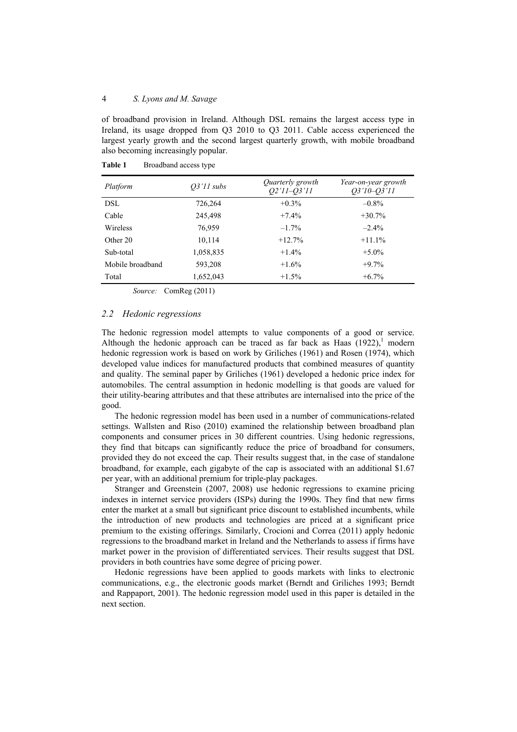of broadband provision in Ireland. Although DSL remains the largest access type in Ireland, its usage dropped from Q3 2010 to Q3 2011. Cable access experienced the largest yearly growth and the second largest quarterly growth, with mobile broadband also becoming increasingly popular.

| Platform         | 03'11 subs | Quarterly growth<br>$02'11 - 03'11$ | Year-on-year growth<br>03'10-03'11 |
|------------------|------------|-------------------------------------|------------------------------------|
| <b>DSL</b>       | 726,264    | $+0.3\%$                            | $-0.8\%$                           |
| Cable            | 245,498    | $+7.4%$                             | $+30.7%$                           |
| Wireless         | 76.959     | $-1.7\%$                            | $-2.4\%$                           |
| Other 20         | 10,114     | $+12.7%$                            | $+11.1%$                           |
| Sub-total        | 1,058,835  | $+1.4\%$                            | $+5.0\%$                           |
| Mobile broadband | 593,208    | $+1.6%$                             | $+9.7\%$                           |
| Total            | 1,652,043  | $+1.5\%$                            | $+6.7\%$                           |

Table 1 Broadband access type

*Source:* ComReg (2011)

#### *2.2 Hedonic regressions*

The hedonic regression model attempts to value components of a good or service. Although the hedonic approach can be traced as far back as Haas  $(1922)$ ,<sup>1</sup> modern hedonic regression work is based on work by Griliches (1961) and Rosen (1974), which developed value indices for manufactured products that combined measures of quantity and quality. The seminal paper by Griliches (1961) developed a hedonic price index for automobiles. The central assumption in hedonic modelling is that goods are valued for their utility-bearing attributes and that these attributes are internalised into the price of the good.

The hedonic regression model has been used in a number of communications-related settings. Wallsten and Riso (2010) examined the relationship between broadband plan components and consumer prices in 30 different countries. Using hedonic regressions, they find that bitcaps can significantly reduce the price of broadband for consumers, provided they do not exceed the cap. Their results suggest that, in the case of standalone broadband, for example, each gigabyte of the cap is associated with an additional \$1.67 per year, with an additional premium for triple-play packages.

Stranger and Greenstein (2007, 2008) use hedonic regressions to examine pricing indexes in internet service providers (ISPs) during the 1990s. They find that new firms enter the market at a small but significant price discount to established incumbents, while the introduction of new products and technologies are priced at a significant price premium to the existing offerings. Similarly, Crocioni and Correa (2011) apply hedonic regressions to the broadband market in Ireland and the Netherlands to assess if firms have market power in the provision of differentiated services. Their results suggest that DSL providers in both countries have some degree of pricing power.

Hedonic regressions have been applied to goods markets with links to electronic communications, e.g., the electronic goods market (Berndt and Griliches 1993; Berndt and Rappaport, 2001). The hedonic regression model used in this paper is detailed in the next section.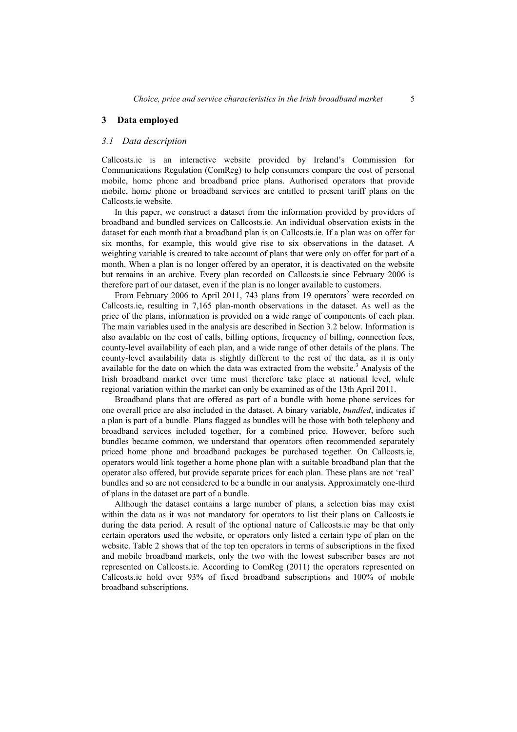#### **3 Data employed**

#### *3.1 Data description*

Callcosts.ie is an interactive website provided by Ireland's Commission for Communications Regulation (ComReg) to help consumers compare the cost of personal mobile, home phone and broadband price plans. Authorised operators that provide mobile, home phone or broadband services are entitled to present tariff plans on the Callcosts.ie website.

In this paper, we construct a dataset from the information provided by providers of broadband and bundled services on Callcosts.ie. An individual observation exists in the dataset for each month that a broadband plan is on Callcosts.ie. If a plan was on offer for six months, for example, this would give rise to six observations in the dataset. A weighting variable is created to take account of plans that were only on offer for part of a month. When a plan is no longer offered by an operator, it is deactivated on the website but remains in an archive. Every plan recorded on Callcosts.ie since February 2006 is therefore part of our dataset, even if the plan is no longer available to customers.

From February 2006 to April 2011, 743 plans from 19 operators<sup>2</sup> were recorded on Callcosts.ie, resulting in 7,165 plan-month observations in the dataset. As well as the price of the plans, information is provided on a wide range of components of each plan. The main variables used in the analysis are described in Section 3.2 below. Information is also available on the cost of calls, billing options, frequency of billing, connection fees, county-level availability of each plan, and a wide range of other details of the plans. The county-level availability data is slightly different to the rest of the data, as it is only available for the date on which the data was extracted from the website.<sup>3</sup> Analysis of the Irish broadband market over time must therefore take place at national level, while regional variation within the market can only be examined as of the 13th April 2011.

Broadband plans that are offered as part of a bundle with home phone services for one overall price are also included in the dataset. A binary variable, *bundled*, indicates if a plan is part of a bundle. Plans flagged as bundles will be those with both telephony and broadband services included together, for a combined price. However, before such bundles became common, we understand that operators often recommended separately priced home phone and broadband packages be purchased together. On Callcosts.ie, operators would link together a home phone plan with a suitable broadband plan that the operator also offered, but provide separate prices for each plan. These plans are not 'real' bundles and so are not considered to be a bundle in our analysis. Approximately one-third of plans in the dataset are part of a bundle.

Although the dataset contains a large number of plans, a selection bias may exist within the data as it was not mandatory for operators to list their plans on Callcosts.ie during the data period. A result of the optional nature of Callcosts.ie may be that only certain operators used the website, or operators only listed a certain type of plan on the website. Table 2 shows that of the top ten operators in terms of subscriptions in the fixed and mobile broadband markets, only the two with the lowest subscriber bases are not represented on Callcosts.ie. According to ComReg (2011) the operators represented on Callcosts.ie hold over 93% of fixed broadband subscriptions and 100% of mobile broadband subscriptions.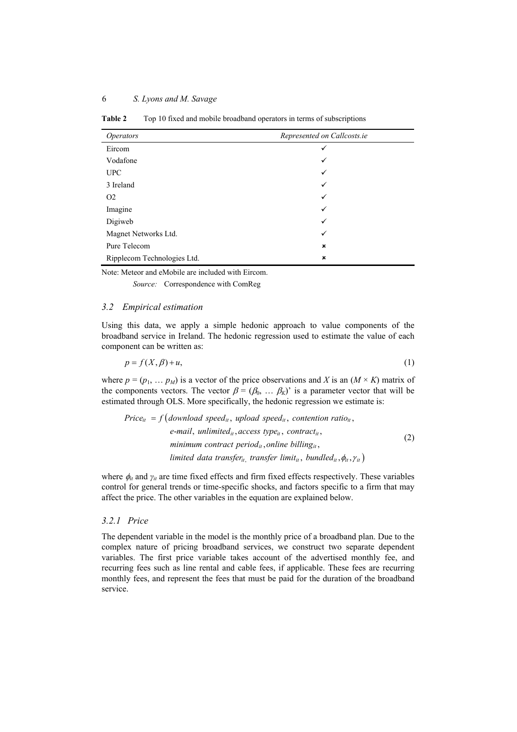Table 2 Top 10 fixed and mobile broadband operators in terms of subscriptions

| <i><b>Operators</b></i>     | Represented on Callcosts.ie |
|-----------------------------|-----------------------------|
| Eircom                      | ✓                           |
| Vodafone                    | ✓                           |
| <b>UPC</b>                  | ✓                           |
| 3 Ireland                   | ✓                           |
| O <sub>2</sub>              | ✓                           |
| Imagine                     | ✓                           |
| Digiweb                     | ✓                           |
| Magnet Networks Ltd.        | ✓                           |
| Pure Telecom                | ×                           |
| Ripplecom Technologies Ltd. | $\pmb{\times}$              |

Note: Meteor and eMobile are included with Eircom. *Source:* Correspondence with ComReg

#### *3.2 Empirical estimation*

Using this data, we apply a simple hedonic approach to value components of the broadband service in Ireland. The hedonic regression used to estimate the value of each component can be written as:

$$
p = f(X, \beta) + u,\tag{1}
$$

where  $p = (p_1, \ldots, p_M)$  is a vector of the price observations and *X* is an  $(M \times K)$  matrix of the components vectors. The vector  $\beta = (\beta_0, \dots, \beta_K)'$  is a parameter vector that will be estimated through OLS. More specifically, the hedonic regression we estimate is:

$$
Price_{it} = f(download speed_{it}, upload speed_{it}, contention ratio_{it}, e-mail, unlimited_{it}, access type_{it}, contract_{it}, minimum contract period_{it}, online billing_{it},limited data transfer_{it}, transfer limit_{it}, bundle_{it},  $\gamma_{it}$ )
$$
 (2)

where φ*it* and *γit* are time fixed effects and firm fixed effects respectively. These variables control for general trends or time-specific shocks, and factors specific to a firm that may affect the price. The other variables in the equation are explained below.

### *3.2.1 Price*

The dependent variable in the model is the monthly price of a broadband plan. Due to the complex nature of pricing broadband services, we construct two separate dependent variables. The first price variable takes account of the advertised monthly fee, and recurring fees such as line rental and cable fees, if applicable. These fees are recurring monthly fees, and represent the fees that must be paid for the duration of the broadband service.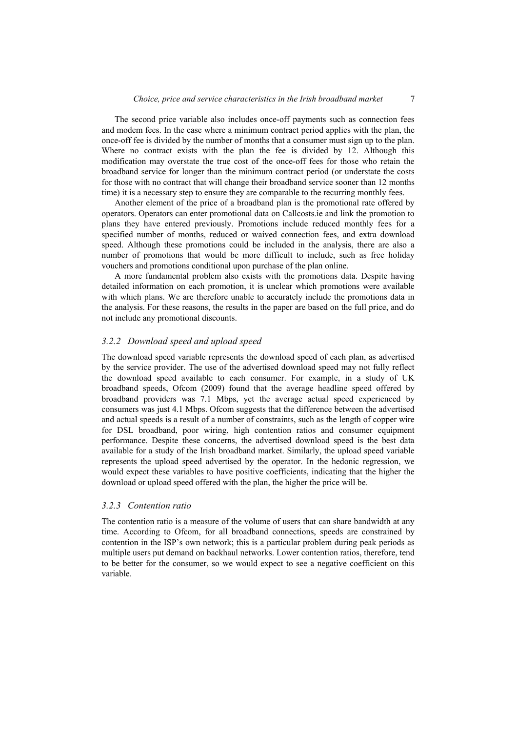The second price variable also includes once-off payments such as connection fees and modem fees. In the case where a minimum contract period applies with the plan, the once-off fee is divided by the number of months that a consumer must sign up to the plan. Where no contract exists with the plan the fee is divided by 12. Although this modification may overstate the true cost of the once-off fees for those who retain the broadband service for longer than the minimum contract period (or understate the costs for those with no contract that will change their broadband service sooner than 12 months time) it is a necessary step to ensure they are comparable to the recurring monthly fees.

Another element of the price of a broadband plan is the promotional rate offered by operators. Operators can enter promotional data on Callcosts.ie and link the promotion to plans they have entered previously. Promotions include reduced monthly fees for a specified number of months, reduced or waived connection fees, and extra download speed. Although these promotions could be included in the analysis, there are also a number of promotions that would be more difficult to include, such as free holiday vouchers and promotions conditional upon purchase of the plan online.

A more fundamental problem also exists with the promotions data. Despite having detailed information on each promotion, it is unclear which promotions were available with which plans. We are therefore unable to accurately include the promotions data in the analysis. For these reasons, the results in the paper are based on the full price, and do not include any promotional discounts.

#### *3.2.2 Download speed and upload speed*

The download speed variable represents the download speed of each plan, as advertised by the service provider. The use of the advertised download speed may not fully reflect the download speed available to each consumer. For example, in a study of UK broadband speeds, Ofcom (2009) found that the average headline speed offered by broadband providers was 7.1 Mbps, yet the average actual speed experienced by consumers was just 4.1 Mbps. Ofcom suggests that the difference between the advertised and actual speeds is a result of a number of constraints, such as the length of copper wire for DSL broadband, poor wiring, high contention ratios and consumer equipment performance. Despite these concerns, the advertised download speed is the best data available for a study of the Irish broadband market. Similarly, the upload speed variable represents the upload speed advertised by the operator. In the hedonic regression, we would expect these variables to have positive coefficients, indicating that the higher the download or upload speed offered with the plan, the higher the price will be.

#### *3.2.3 Contention ratio*

The contention ratio is a measure of the volume of users that can share bandwidth at any time. According to Ofcom, for all broadband connections, speeds are constrained by contention in the ISP's own network; this is a particular problem during peak periods as multiple users put demand on backhaul networks. Lower contention ratios, therefore, tend to be better for the consumer, so we would expect to see a negative coefficient on this variable.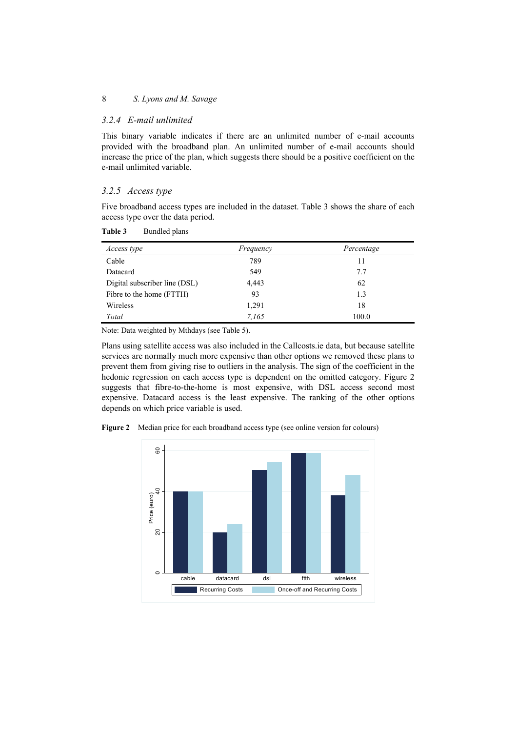### *3.2.4 E-mail unlimited*

This binary variable indicates if there are an unlimited number of e-mail accounts provided with the broadband plan. An unlimited number of e-mail accounts should increase the price of the plan, which suggests there should be a positive coefficient on the e-mail unlimited variable.

### *3.2.5 Access type*

Five broadband access types are included in the dataset. Table 3 shows the share of each access type over the data period.

**Table 3** Bundled plans

| Access type                   | Frequency | Percentage |
|-------------------------------|-----------|------------|
| Cable                         | 789       | 11         |
| Datacard                      | 549       | 7.7        |
| Digital subscriber line (DSL) | 4,443     | 62         |
| Fibre to the home (FTTH)      | 93        | 1.3        |
| Wireless                      | 1,291     | 18         |
| Total                         | 7.165     | 100.0      |

Note: Data weighted by Mthdays (see Table 5).

Plans using satellite access was also included in the Callcosts.ie data, but because satellite services are normally much more expensive than other options we removed these plans to prevent them from giving rise to outliers in the analysis. The sign of the coefficient in the hedonic regression on each access type is dependent on the omitted category. Figure 2 suggests that fibre-to-the-home is most expensive, with DSL access second most expensive. Datacard access is the least expensive. The ranking of the other options depends on which price variable is used.

**Figure 2** Median price for each broadband access type (see online version for colours)

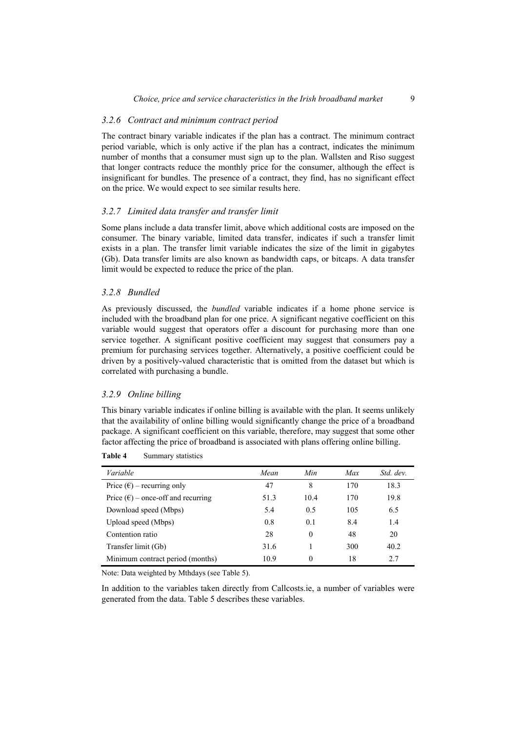#### *3.2.6 Contract and minimum contract period*

The contract binary variable indicates if the plan has a contract. The minimum contract period variable, which is only active if the plan has a contract, indicates the minimum number of months that a consumer must sign up to the plan. Wallsten and Riso suggest that longer contracts reduce the monthly price for the consumer, although the effect is insignificant for bundles. The presence of a contract, they find, has no significant effect on the price. We would expect to see similar results here.

#### *3.2.7 Limited data transfer and transfer limit*

Some plans include a data transfer limit, above which additional costs are imposed on the consumer. The binary variable, limited data transfer, indicates if such a transfer limit exists in a plan. The transfer limit variable indicates the size of the limit in gigabytes (Gb). Data transfer limits are also known as bandwidth caps, or bitcaps. A data transfer limit would be expected to reduce the price of the plan.

### *3.2.8 Bundled*

As previously discussed, the *bundled* variable indicates if a home phone service is included with the broadband plan for one price. A significant negative coefficient on this variable would suggest that operators offer a discount for purchasing more than one service together. A significant positive coefficient may suggest that consumers pay a premium for purchasing services together. Alternatively, a positive coefficient could be driven by a positively-valued characteristic that is omitted from the dataset but which is correlated with purchasing a bundle.

#### *3.2.9 Online billing*

This binary variable indicates if online billing is available with the plan. It seems unlikely that the availability of online billing would significantly change the price of a broadband package. A significant coefficient on this variable, therefore, may suggest that some other factor affecting the price of broadband is associated with plans offering online billing.

| Variable                                    | Mean | Min      | Max | Std. dev. |
|---------------------------------------------|------|----------|-----|-----------|
| Price $(\epsilon)$ – recurring only         | 47   | 8        | 170 | 18.3      |
| Price $(\epsilon)$ – once-off and recurring | 51.3 | 10.4     | 170 | 19.8      |
| Download speed (Mbps)                       | 5.4  | 0.5      | 105 | 6.5       |
| Upload speed (Mbps)                         | 0.8  | 0.1      | 8.4 | 1.4       |
| Contention ratio                            | 28   | $\theta$ | 48  | 20        |
| Transfer limit (Gb)                         | 31.6 |          | 300 | 40.2      |
| Minimum contract period (months)            | 10.9 | $\theta$ | 18  | 2.7       |

**Table 4** Summary statistics

Note: Data weighted by Mthdays (see Table 5).

In addition to the variables taken directly from Callcosts.ie, a number of variables were generated from the data. Table 5 describes these variables.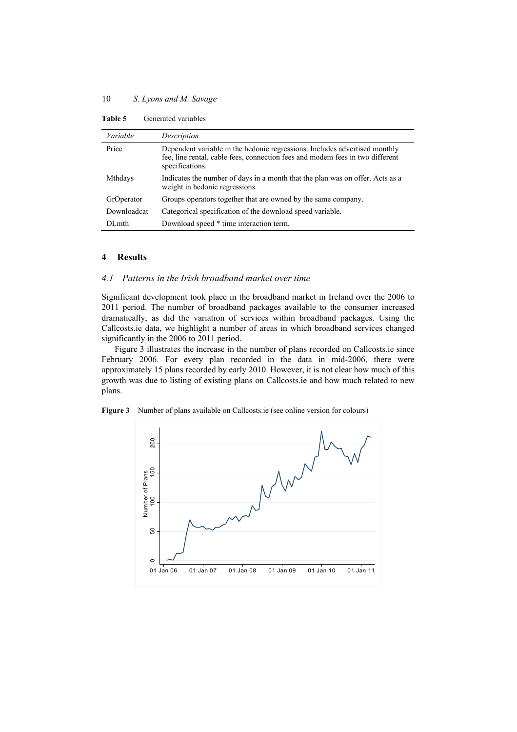| Variable    | Description                                                                                                                                                                    |
|-------------|--------------------------------------------------------------------------------------------------------------------------------------------------------------------------------|
| Price       | Dependent variable in the hedonic regressions. Includes advertised monthly<br>fee, line rental, cable fees, connection fees and modem fees in two different<br>specifications. |
| Mthdays     | Indicates the number of days in a month that the plan was on offer. Acts as a<br>weight in hedonic regressions.                                                                |
| GrOperator  | Groups operators together that are owned by the same company.                                                                                                                  |
| Downloadcat | Categorical specification of the download speed variable.                                                                                                                      |
| DL mth      | Download speed * time interaction term.                                                                                                                                        |

### **4 Results**

#### *4.1 Patterns in the Irish broadband market over time*

Significant development took place in the broadband market in Ireland over the 2006 to 2011 period. The number of broadband packages available to the consumer increased dramatically, as did the variation of services within broadband packages. Using the Callcosts.ie data, we highlight a number of areas in which broadband services changed significantly in the 2006 to 2011 period.

Figure 3 illustrates the increase in the number of plans recorded on Callcosts.ie since February 2006. For every plan recorded in the data in mid-2006, there were approximately 15 plans recorded by early 2010. However, it is not clear how much of this growth was due to listing of existing plans on Callcosts.ie and how much related to new plans.

200 50 100 150 200 Number of Plans<br>100 150 Number of Plans 50  $\circ$ 01 Jan 06 01 Jan 07 01 Jan 08 01 Jan 09 01 Jan 10 01 Jan 11

**Figure 3** Number of plans available on Callcosts.ie (see online version for colours)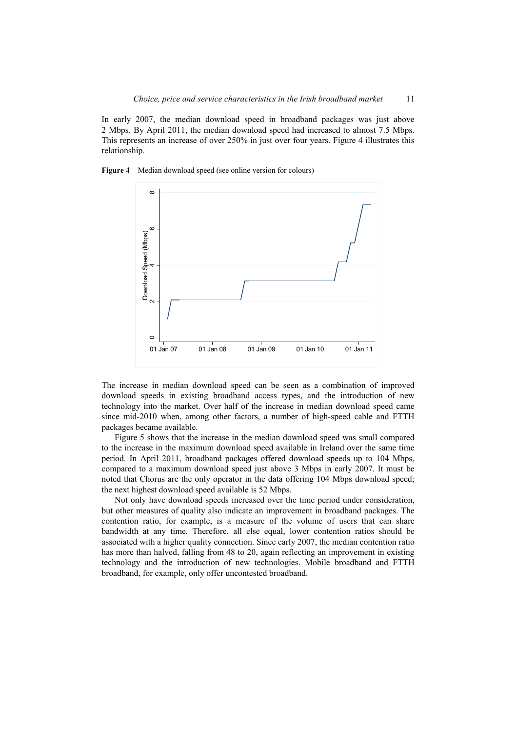In early 2007, the median download speed in broadband packages was just above 2 Mbps. By April 2011, the median download speed had increased to almost 7.5 Mbps. This represents an increase of over 250% in just over four years. Figure 4 illustrates this relationship.





The increase in median download speed can be seen as a combination of improved download speeds in existing broadband access types, and the introduction of new technology into the market. Over half of the increase in median download speed came since mid-2010 when, among other factors, a number of high-speed cable and FTTH packages became available.

Figure 5 shows that the increase in the median download speed was small compared to the increase in the maximum download speed available in Ireland over the same time period. In April 2011, broadband packages offered download speeds up to 104 Mbps, compared to a maximum download speed just above 3 Mbps in early 2007. It must be noted that Chorus are the only operator in the data offering 104 Mbps download speed; the next highest download speed available is 52 Mbps.

Not only have download speeds increased over the time period under consideration, but other measures of quality also indicate an improvement in broadband packages. The contention ratio, for example, is a measure of the volume of users that can share bandwidth at any time. Therefore, all else equal, lower contention ratios should be associated with a higher quality connection. Since early 2007, the median contention ratio has more than halved, falling from 48 to 20, again reflecting an improvement in existing technology and the introduction of new technologies. Mobile broadband and FTTH broadband, for example, only offer uncontested broadband.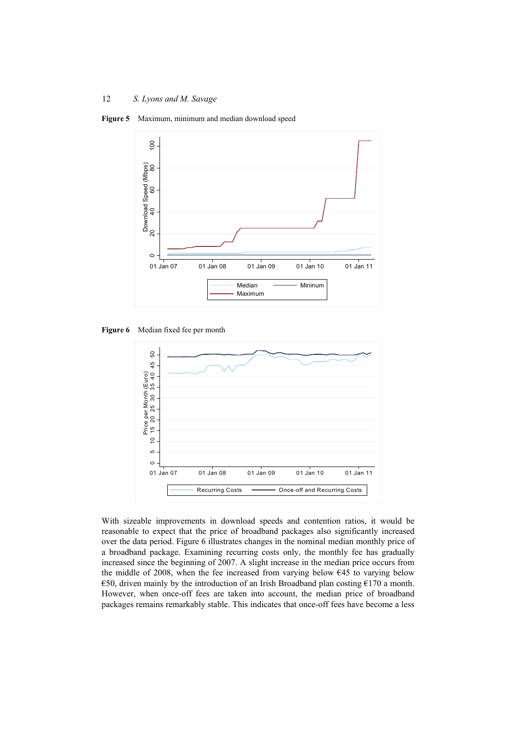

**Figure 5** Maximum, minimum and median download speed

Figure 6 Median fixed fee per month



With sizeable improvements in download speeds and contention ratios, it would be reasonable to expect that the price of broadband packages also significantly increased over the data period. Figure 6 illustrates changes in the nominal median monthly price of a broadband package. Examining recurring costs only, the monthly fee has gradually increased since the beginning of 2007. A slight increase in the median price occurs from the middle of 2008, when the fee increased from varying below  $\epsilon$ 45 to varying below €50, driven mainly by the introduction of an Irish Broadband plan costing €170 a month. However, when once-off fees are taken into account, the median price of broadband packages remains remarkably stable. This indicates that once-off fees have become a less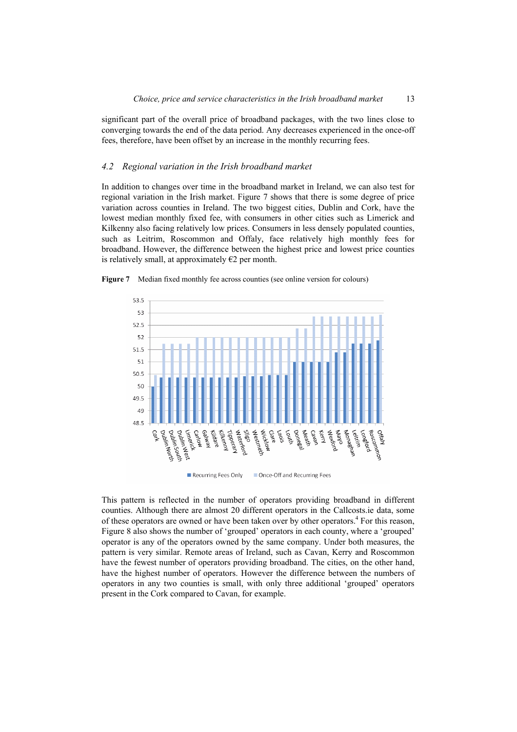significant part of the overall price of broadband packages, with the two lines close to converging towards the end of the data period. Any decreases experienced in the once-off fees, therefore, have been offset by an increase in the monthly recurring fees.

### *4.2 Regional variation in the Irish broadband market*

In addition to changes over time in the broadband market in Ireland, we can also test for regional variation in the Irish market. Figure 7 shows that there is some degree of price variation across counties in Ireland. The two biggest cities, Dublin and Cork, have the lowest median monthly fixed fee, with consumers in other cities such as Limerick and Kilkenny also facing relatively low prices. Consumers in less densely populated counties, such as Leitrim, Roscommon and Offaly, face relatively high monthly fees for broadband. However, the difference between the highest price and lowest price counties is relatively small, at approximately  $\epsilon$ 2 per month.



**Figure 7** Median fixed monthly fee across counties (see online version for colours)

This pattern is reflected in the number of operators providing broadband in different counties. Although there are almost 20 different operators in the Callcosts.ie data, some of these operators are owned or have been taken over by other operators.<sup>4</sup> For this reason, Figure 8 also shows the number of 'grouped' operators in each county, where a 'grouped' operator is any of the operators owned by the same company. Under both measures, the pattern is very similar. Remote areas of Ireland, such as Cavan, Kerry and Roscommon have the fewest number of operators providing broadband. The cities, on the other hand, have the highest number of operators. However the difference between the numbers of operators in any two counties is small, with only three additional 'grouped' operators present in the Cork compared to Cavan, for example.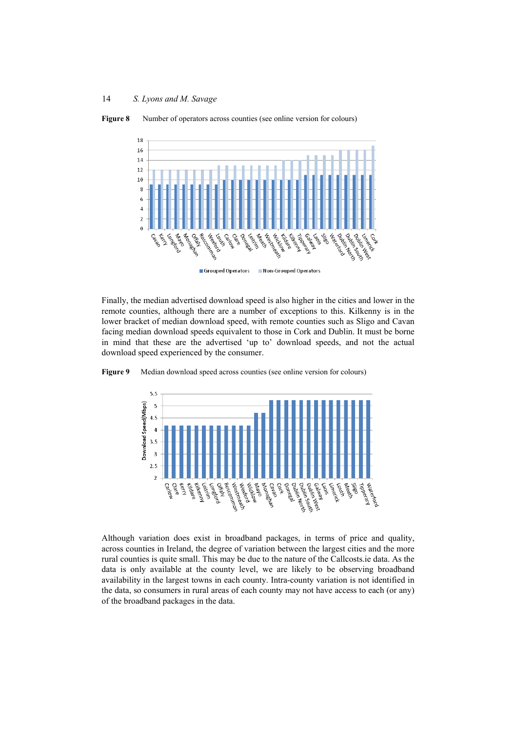

**Figure 8** Number of operators across counties (see online version for colours)

Grouped Operators Non-Grouped Operators

Finally, the median advertised download speed is also higher in the cities and lower in the remote counties, although there are a number of exceptions to this. Kilkenny is in the lower bracket of median download speed, with remote counties such as Sligo and Cavan facing median download speeds equivalent to those in Cork and Dublin. It must be borne in mind that these are the advertised 'up to' download speeds, and not the actual download speed experienced by the consumer.



**Figure 9** Median download speed across counties (see online version for colours)

Although variation does exist in broadband packages, in terms of price and quality, across counties in Ireland, the degree of variation between the largest cities and the more rural counties is quite small. This may be due to the nature of the Callcosts.ie data. As the data is only available at the county level, we are likely to be observing broadband availability in the largest towns in each county. Intra-county variation is not identified in the data, so consumers in rural areas of each county may not have access to each (or any) of the broadband packages in the data.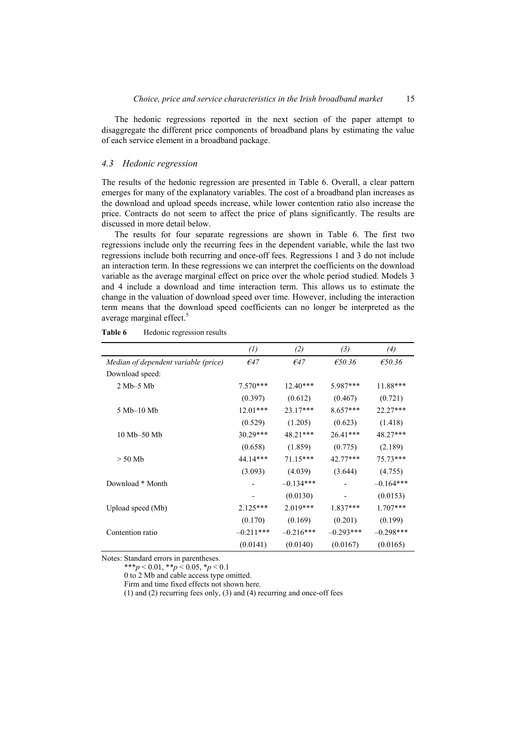The hedonic regressions reported in the next section of the paper attempt to disaggregate the different price components of broadband plans by estimating the value of each service element in a broadband package.

#### *4.3 Hedonic regression*

The results of the hedonic regression are presented in Table 6. Overall, a clear pattern emerges for many of the explanatory variables. The cost of a broadband plan increases as the download and upload speeds increase, while lower contention ratio also increase the price. Contracts do not seem to affect the price of plans significantly. The results are discussed in more detail below.

The results for four separate regressions are shown in Table 6. The first two regressions include only the recurring fees in the dependent variable, while the last two regressions include both recurring and once-off fees. Regressions 1 and 3 do not include an interaction term. In these regressions we can interpret the coefficients on the download variable as the average marginal effect on price over the whole period studied. Models 3 and 4 include a download and time interaction term. This allows us to estimate the change in the valuation of download speed over time. However, including the interaction term means that the download speed coefficients can no longer be interpreted as the average marginal effect.<sup>5</sup>

|                                      | $\left( l\right)$ | (2)         | (3)         | $\left( 4\right)$ |
|--------------------------------------|-------------------|-------------|-------------|-------------------|
| Median of dependent variable (price) | $\epsilon$ 47     | E47         | £50.36      | £50.36            |
| Download speed:                      |                   |             |             |                   |
| $2$ Mb $-5$ Mb                       | $7.570***$        | $12.40***$  | 5.987***    | 11.88***          |
|                                      | (0.397)           | (0.612)     | (0.467)     | (0.721)           |
| $5 \text{ Mb} - 10 \text{ Mb}$       | $12.01***$        | $23.17***$  | 8.657***    | 22.27***          |
|                                      | (0.529)           | (1.205)     | (0.623)     | (1.418)           |
| 10 Mb-50 Mb                          | $30.29***$        | $48.21***$  | $26.41***$  | 48.27***          |
|                                      | (0.658)           | (1.859)     | (0.775)     | (2.189)           |
| $> 50$ Mb                            | 44.14***          | $71.15***$  | 42.77***    | $75.73***$        |
|                                      | (3.093)           | (4.039)     | (3.644)     | (4.755)           |
| Download * Month                     |                   | $-0.134***$ |             | $-0.164***$       |
|                                      |                   | (0.0130)    |             | (0.0153)          |
| Upload speed (Mb)                    | $2.125***$        | $2.019***$  | 1.837***    | $1.707***$        |
|                                      | (0.170)           | (0.169)     | (0.201)     | (0.199)           |
| Contention ratio                     | $-0.211***$       | $-0.216***$ | $-0.293***$ | $-0.298***$       |
|                                      | (0.0141)          | (0.0140)    | (0.0167)    | (0.0165)          |

Table 6 Hedonic regression results

Notes: Standard errors in parentheses.

\*\*\**p* < 0.01, \*\**p* < 0.05, \**p* < 0.1

0 to 2 Mb and cable access type omitted.

Firm and time fixed effects not shown here.

(1) and (2) recurring fees only, (3) and (4) recurring and once-off fees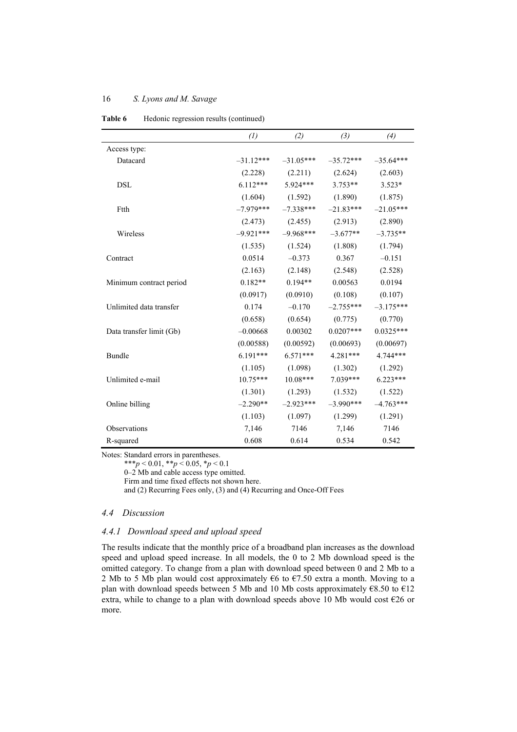|                          | (1)         | (2)         | (3)         | (4)         |
|--------------------------|-------------|-------------|-------------|-------------|
| Access type:             |             |             |             |             |
| Datacard                 | $-31.12***$ | $-31.05***$ | $-35.72***$ | $-35.64***$ |
|                          | (2.228)     | (2.211)     | (2.624)     | (2.603)     |
| <b>DSL</b>               | $6.112***$  | 5.924***    | $3.753**$   | $3.523*$    |
|                          | (1.604)     | (1.592)     | (1.890)     | (1.875)     |
| Ftth                     | $-7.979***$ | $-7.338***$ | $-21.83***$ | $-21.05***$ |
|                          | (2.473)     | (2.455)     | (2.913)     | (2.890)     |
| Wireless                 | $-9921***$  | $-9.968***$ | $-3.677**$  | $-3.735**$  |
|                          | (1.535)     | (1.524)     | (1.808)     | (1.794)     |
| Contract                 | 0.0514      | $-0.373$    | 0.367       | $-0.151$    |
|                          | (2.163)     | (2.148)     | (2.548)     | (2.528)     |
| Minimum contract period  | $0.182**$   | $0.194**$   | 0.00563     | 0.0194      |
|                          | (0.0917)    | (0.0910)    | (0.108)     | (0.107)     |
| Unlimited data transfer  | 0.174       | $-0.170$    | $-2.755***$ | $-3.175***$ |
|                          | (0.658)     | (0.654)     | (0.775)     | (0.770)     |
| Data transfer limit (Gb) | $-0.00668$  | 0.00302     | $0.0207***$ | $0.0325***$ |
|                          | (0.00588)   | (0.00592)   | (0.00693)   | (0.00697)   |
| Bundle                   | $6.191***$  | $6.571***$  | $4.281***$  | $4.744***$  |
|                          | (1.105)     | (1.098)     | (1.302)     | (1.292)     |
| Unlimited e-mail         | $10.75***$  | $10.08***$  | $7.039***$  | $6.223***$  |
|                          | (1.301)     | (1.293)     | (1.532)     | (1.522)     |
| Online billing           | $-2.290**$  | $-2.923***$ | $-3.990***$ | $-4.763***$ |
|                          | (1.103)     | (1.097)     | (1.299)     | (1.291)     |
| <b>Observations</b>      | 7,146       | 7146        | 7,146       | 7146        |
| R-squared                | 0.608       | 0.614       | 0.534       | 0.542       |

Table 6 Hedonic regression results (continued)

Notes: Standard errors in parentheses.

\*\*\**p* < 0.01, \*\**p* < 0.05, \**p* < 0.1

0–2 Mb and cable access type omitted.

Firm and time fixed effects not shown here.

and (2) Recurring Fees only, (3) and (4) Recurring and Once-Off Fees

### *4.4 Discussion*

### *4.4.1 Download speed and upload speed*

The results indicate that the monthly price of a broadband plan increases as the download speed and upload speed increase. In all models, the 0 to 2 Mb download speed is the omitted category. To change from a plan with download speed between 0 and 2 Mb to a 2 Mb to 5 Mb plan would cost approximately  $\epsilon$ 6 to  $\epsilon$ 7.50 extra a month. Moving to a plan with download speeds between 5 Mb and 10 Mb costs approximately  $€8.50$  to  $€12$ extra, while to change to a plan with download speeds above 10 Mb would cost  $\epsilon$ 26 or more.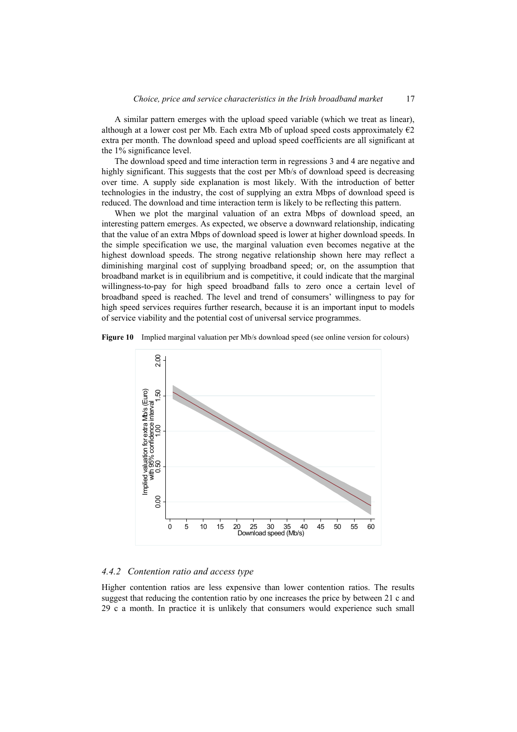A similar pattern emerges with the upload speed variable (which we treat as linear), although at a lower cost per Mb. Each extra Mb of upload speed costs approximately  $\epsilon_2$ extra per month. The download speed and upload speed coefficients are all significant at the 1% significance level.

The download speed and time interaction term in regressions 3 and 4 are negative and highly significant. This suggests that the cost per Mb/s of download speed is decreasing over time. A supply side explanation is most likely. With the introduction of better technologies in the industry, the cost of supplying an extra Mbps of download speed is reduced. The download and time interaction term is likely to be reflecting this pattern.

When we plot the marginal valuation of an extra Mbps of download speed, an interesting pattern emerges. As expected, we observe a downward relationship, indicating that the value of an extra Mbps of download speed is lower at higher download speeds. In the simple specification we use, the marginal valuation even becomes negative at the highest download speeds. The strong negative relationship shown here may reflect a diminishing marginal cost of supplying broadband speed; or, on the assumption that broadband market is in equilibrium and is competitive, it could indicate that the marginal willingness-to-pay for high speed broadband falls to zero once a certain level of broadband speed is reached. The level and trend of consumers' willingness to pay for high speed services requires further research, because it is an important input to models of service viability and the potential cost of universal service programmes.





#### *4.4.2 Contention ratio and access type*

Higher contention ratios are less expensive than lower contention ratios. The results suggest that reducing the contention ratio by one increases the price by between 21 c and 29 c a month. In practice it is unlikely that consumers would experience such small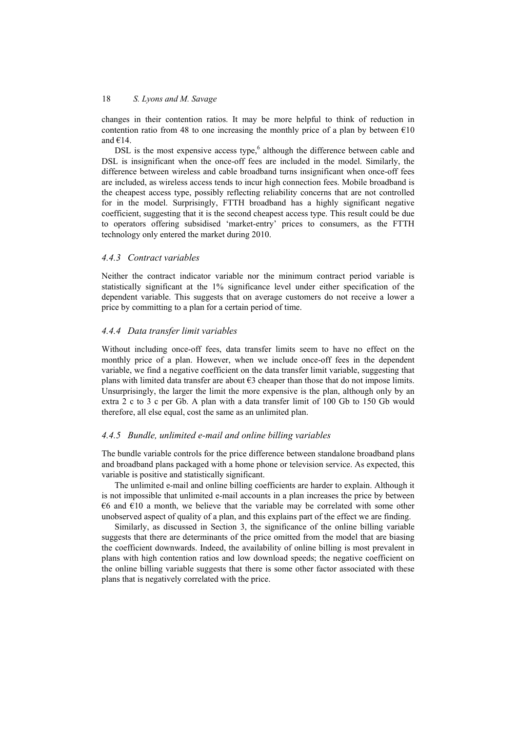changes in their contention ratios. It may be more helpful to think of reduction in contention ratio from 48 to one increasing the monthly price of a plan by between  $\epsilon$ 10 and  $€14$ .

DSL is the most expensive access type, $6$  although the difference between cable and DSL is insignificant when the once-off fees are included in the model. Similarly, the difference between wireless and cable broadband turns insignificant when once-off fees are included, as wireless access tends to incur high connection fees. Mobile broadband is the cheapest access type, possibly reflecting reliability concerns that are not controlled for in the model. Surprisingly, FTTH broadband has a highly significant negative coefficient, suggesting that it is the second cheapest access type. This result could be due to operators offering subsidised 'market-entry' prices to consumers, as the FTTH technology only entered the market during 2010.

#### *4.4.3 Contract variables*

Neither the contract indicator variable nor the minimum contract period variable is statistically significant at the 1% significance level under either specification of the dependent variable. This suggests that on average customers do not receive a lower a price by committing to a plan for a certain period of time.

#### *4.4.4 Data transfer limit variables*

Without including once-off fees, data transfer limits seem to have no effect on the monthly price of a plan. However, when we include once-off fees in the dependent variable, we find a negative coefficient on the data transfer limit variable, suggesting that plans with limited data transfer are about  $\epsilon$ 3 cheaper than those that do not impose limits. Unsurprisingly, the larger the limit the more expensive is the plan, although only by an extra 2 c to 3 c per Gb. A plan with a data transfer limit of 100 Gb to 150 Gb would therefore, all else equal, cost the same as an unlimited plan.

#### *4.4.5 Bundle, unlimited e-mail and online billing variables*

The bundle variable controls for the price difference between standalone broadband plans and broadband plans packaged with a home phone or television service. As expected, this variable is positive and statistically significant.

The unlimited e-mail and online billing coefficients are harder to explain. Although it is not impossible that unlimited e-mail accounts in a plan increases the price by between  $66$  and  $610$  a month, we believe that the variable may be correlated with some other unobserved aspect of quality of a plan, and this explains part of the effect we are finding.

Similarly, as discussed in Section 3, the significance of the online billing variable suggests that there are determinants of the price omitted from the model that are biasing the coefficient downwards. Indeed, the availability of online billing is most prevalent in plans with high contention ratios and low download speeds; the negative coefficient on the online billing variable suggests that there is some other factor associated with these plans that is negatively correlated with the price.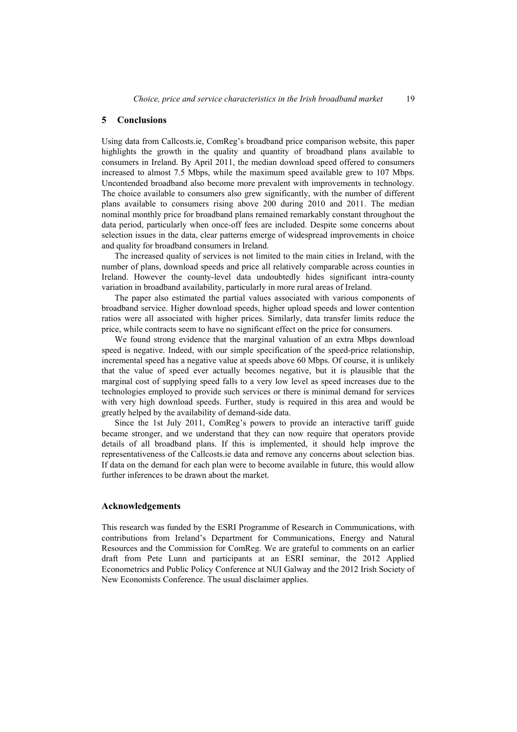#### **5 Conclusions**

Using data from Callcosts.ie, ComReg's broadband price comparison website, this paper highlights the growth in the quality and quantity of broadband plans available to consumers in Ireland. By April 2011, the median download speed offered to consumers increased to almost 7.5 Mbps, while the maximum speed available grew to 107 Mbps. Uncontended broadband also become more prevalent with improvements in technology. The choice available to consumers also grew significantly, with the number of different plans available to consumers rising above 200 during 2010 and 2011. The median nominal monthly price for broadband plans remained remarkably constant throughout the data period, particularly when once-off fees are included. Despite some concerns about selection issues in the data, clear patterns emerge of widespread improvements in choice and quality for broadband consumers in Ireland.

The increased quality of services is not limited to the main cities in Ireland, with the number of plans, download speeds and price all relatively comparable across counties in Ireland. However the county-level data undoubtedly hides significant intra-county variation in broadband availability, particularly in more rural areas of Ireland.

The paper also estimated the partial values associated with various components of broadband service. Higher download speeds, higher upload speeds and lower contention ratios were all associated with higher prices. Similarly, data transfer limits reduce the price, while contracts seem to have no significant effect on the price for consumers.

We found strong evidence that the marginal valuation of an extra Mbps download speed is negative. Indeed, with our simple specification of the speed-price relationship, incremental speed has a negative value at speeds above 60 Mbps. Of course, it is unlikely that the value of speed ever actually becomes negative, but it is plausible that the marginal cost of supplying speed falls to a very low level as speed increases due to the technologies employed to provide such services or there is minimal demand for services with very high download speeds. Further, study is required in this area and would be greatly helped by the availability of demand-side data.

Since the 1st July 2011, ComReg's powers to provide an interactive tariff guide became stronger, and we understand that they can now require that operators provide details of all broadband plans. If this is implemented, it should help improve the representativeness of the Callcosts.ie data and remove any concerns about selection bias. If data on the demand for each plan were to become available in future, this would allow further inferences to be drawn about the market.

#### **Acknowledgements**

This research was funded by the ESRI Programme of Research in Communications, with contributions from Ireland's Department for Communications, Energy and Natural Resources and the Commission for ComReg. We are grateful to comments on an earlier draft from Pete Lunn and participants at an ESRI seminar, the 2012 Applied Econometrics and Public Policy Conference at NUI Galway and the 2012 Irish Society of New Economists Conference. The usual disclaimer applies.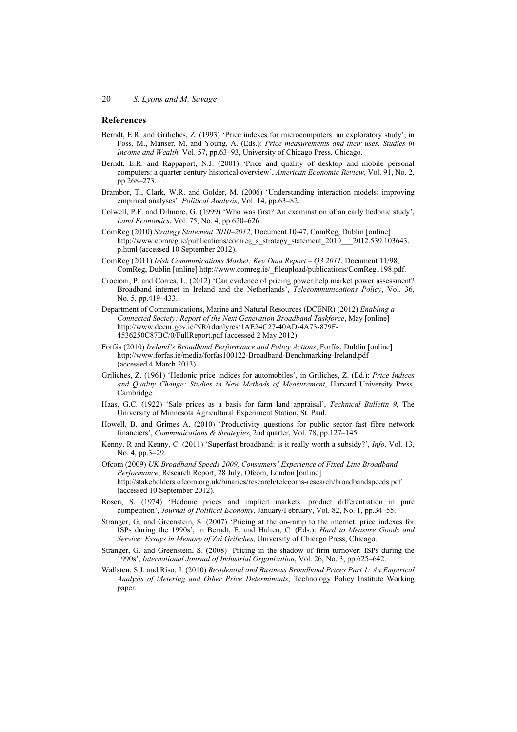#### **References**

- Berndt, E.R. and Griliches, Z. (1993) 'Price indexes for microcomputers: an exploratory study', in Foss, M., Manser, M. and Young, A. (Eds.): *Price measurements and their uses, Studies in Income and Wealth*, Vol. 57, pp.63–93, University of Chicago Press, Chicago.
- Berndt, E.R. and Rappaport, N.J. (2001) 'Price and quality of desktop and mobile personal computers: a quarter century historical overview', *American Economic Review*, Vol. 91, No. 2, pp.268–273.
- Brambor, T., Clark, W.R. and Golder, M. (2006) 'Understanding interaction models: improving empirical analyses', *Political Analysis*, Vol. 14, pp.63–82.
- Colwell, P.F. and Dilmore, G. (1999) 'Who was first? An examination of an early hedonic study', *Land Economics*, Vol. 75, No. 4, pp.620–626.
- ComReg (2010) *Strategy Statement 2010–2012*, Document 10/47, ComReg, Dublin [online] http://www.comreg.ie/publications/comreg\_s\_strategy\_statement\_2010\_\_\_2012.539.103643. p.html (accessed 10 September 2012).
- ComReg (2011) *Irish Communications Market: Key Data Report Q3 2011*, Document 11/98, ComReg, Dublin [online] http://www.comreg.ie/\_fileupload/publications/ComReg1198.pdf.
- Crocioni, P. and Correa, L. (2012) 'Can evidence of pricing power help market power assessment? Broadband internet in Ireland and the Netherlands', *Telecommunications Policy*, Vol. 36, No. 5, pp.419–433.
- Department of Communications, Marine and Natural Resources (DCENR) (2012) *Enabling a Connected Society: Report of the Next Generation Broadband Taskforce*, May [online] http://www.dcenr.gov.ie/NR/rdonlyres/1AE24C27-40AD-4A73-879F-4536250C87BC/0/FullReport.pdf (accessed 2 May 2012).
- Forfás (2010) *Ireland's Broadband Performance and Policy Actions*, Forfás, Dublin [online] http://www.forfas.ie/media/forfas100122-Broadband-Benchmarking-Ireland.pdf (accessed 4 March 2013).
- Griliches, Z. (1961) 'Hedonic price indices for automobiles', in Griliches, Z. (Ed.): *Price Indices and Quality Change: Studies in New Methods of Measurement*, Harvard University Press, Cambridge.
- Haas, G.C. (1922) 'Sale prices as a basis for farm land appraisal', *Technical Bulletin 9*, The University of Minnesota Agricultural Experiment Station, St. Paul.
- Howell, B. and Grimes A. (2010) 'Productivity questions for public sector fast fibre network financiers', *Communications & Strategies*, 2nd quarter, Vol. 78, pp.127–145.
- Kenny, R and Kenny, C. (2011) 'Superfast broadband: is it really worth a subsidy?', *Info*, Vol. 13, No. 4, pp.3–29.
- Ofcom (2009) *UK Broadband Speeds 2009, Consumers' Experience of Fixed-Line Broadband Performance*, Research Report, 28 July, Ofcom, London [online] http://stakeholders.ofcom.org.uk/binaries/research/telecoms-research/broadbandspeeds.pdf (accessed 10 September 2012).
- Rosen, S. (1974) 'Hedonic prices and implicit markets: product differentiation in pure competition', *Journal of Political Economy*, January/February, Vol. 82, No. 1, pp.34–55.
- Stranger, G. and Greenstein, S. (2007) 'Pricing at the on-ramp to the internet: price indexes for ISPs during the 1990s', in Berndt, E. and Hulten, C. (Eds.): *Hard to Measure Goods and Service: Essays in Memory of Zvi Griliches*, University of Chicago Press, Chicago.
- Stranger, G. and Greenstein, S. (2008) 'Pricing in the shadow of firm turnover: ISPs during the 1990s', *International Journal of Industrial Organization*, Vol. 26, No. 3, pp.625–642.
- Wallsten, S.J. and Riso, J. (2010) *Residential and Business Broadband Prices Part 1: An Empirical Analysis of Metering and Other Price Determinants*, Technology Policy Institute Working paper.